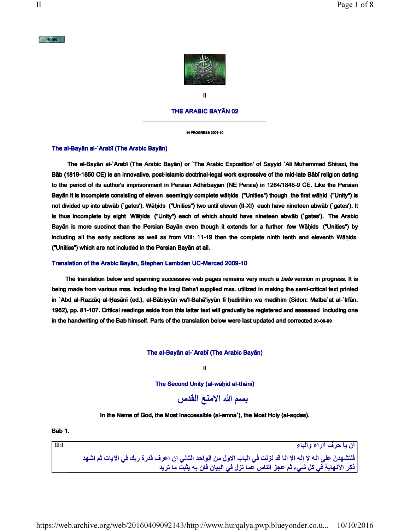

II

# THE ARABIC BAYĀN 02

IN PROGRESS 2009-10

# The al-Bayān al-`Arabī (The Arabic Bayān)

 The al-Bayān al-`Arabī (The Arabic Bayān) or `The Arabic Exposition' of Sayyid `Ali Muhammad Shirazi, the Bāb (1819-1850 CE) is an innovative, post-Islamic doctrinal-legal work expressive of the mid-late Bābī religion dating to the period of its author's imprisonment in Persian Adhirbayjan (NE Persia) in 1264/1848-9 CE. Like the Persian Bayān it is incomplete consisting of eleven seemingly complete wāḥids ("Unities") though the first wāḥid ("Unity") is not divided up into abwāb (`gates'). Wāḥids ("Unities") two until eleven (II-XI) each have nineteen abwāb (`gates'). It is thus incomplete by eight Wāḥids ("Unity") each of which should have nineteen abwāb (`gates'). The Arabic Bayān is more succinct than the Persian Bayān even though it extends for a further few Wāḥids ("Unities") by including all the early sections as well as from VIII: 11-19 then the complete ninth tenth and eleventh Wāḥids ("Unities") which are not included in the Persian Bayān at all.

#### Translation of the Arabic Bayān, Stephen Lambden UC-Merced 2009-10

The translation below and spanning successive web pages remains very much a beta version in progress. It is being made from various mss. including the Iraqi Baha'i supplied mss. utilized in making the semi-critical text printed in `Abd al-Razzāq al-Ḥasānī (ed.), al-Bābiyyūn wa'l-Bahā'iyyūn fī ḥadirihim wa madihim (Sidon: Matba`at al-`Irfān, 1962), pp. 81-107. Critical readings aside from this latter text will gradually be registered and assessed including one in the handwriting of the Bab himself. Parts of the translation below were last updated and corrected 20-09-09

The al-Bayān al-`Arabī (The Arabic Bayān)

II

The Second Unity (al-wāhid al-thānī)

# بسم الله الامنع القدس

# In the Name of God, the Most Inaccessible (al-amna`), the Most Holy (al-aqdas).

Bāb 1.

| II:I | ان يا حرف ااراء والباء                                                                                     |
|------|------------------------------------------------------------------------------------------------------------|
|      | فلتشهدنَ على انه لا إله الا انا قد نزلت في الباب الاول من الواحد الثاني ان اعرف قدرة ربك في الآيات ثم اشهد |
|      | ذكر الآنـهايـة في كل شيء ثم عجز النـاس عمـا نزل في البيـان فـان بـه يثبت مـا تريد                          |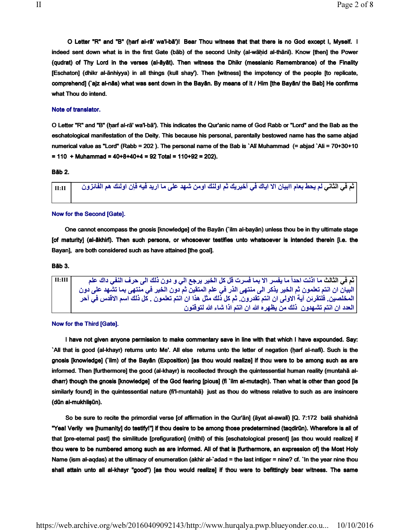O Letter "R" and "B" (ḥarf al-rā' wa'l-bā')! Bear Thou witness that that there is no God except I, Myself. I indeed sent down what is in the first Gate (bāb) of the second Unity (al-wāḥid al-thānī). Know [then] the Power (qudrat) of Thy Lord in the verses (al-āyāt). Then witness the Dhikr (messianic Remembrance) of the Finality [Eschaton] (dhikr al-ānhiyya) in all things (kull shay'). Then [witness] the impotency of the people [to replicate, comprehend] (`ajz al-nās) what was sent down in the Bayān. By means of it / Him [the Bayān/ the Bab] He confirms what Thou do intend.

# Note of translator.

O Letter "R" and "B" (ḥarf al-rā' wa'l-bā'). This indicates the Qur'anic name of God Rabb or "Lord" and the Bab as the eschatological manifestation of the Deity. This because his personal, parentally bestowed name has the same abjad numerical value as "Lord" (Rabb = 202 ). The personal name of the Bab is `Alī Muhammad (= abjad `Ali = 70+30+10  $= 110 +$  Muhammad = 40+8+40+4 = 92 Total = 110+92 = 202).

#### Bāb 2.

ثم في الثاني لم يحط بعام اابيان الا اياك في آخيريك ثم اولنك اومن شهد على ما اريد فيه فإن اولئك هم الفائزون مع ا

#### Now for the Second [Gate].

 One cannot encompass the gnosis [knowledge] of the Bayān (`ilm al-bayān) unless thou be in thy ultimate stage [of maturity] (al-ākhirī). Then such persons, or whosoever testifies unto whatsoever is intended therein [i.e. the Bayan], are both considered such as have attained [the goal].

Bāb 3.

ثم في الثالث ما اذنت احداً ما يفسر الا بما فسرت قل كل الخير يرجع الى و دون ذلك الى حرف النفي داك علم II:III البيان ان انتم تعلمون ثم الخير يذكر الى منتهى الذر في علم المتقين ثم دون الخير في منتهى بما تشهد على دون المخلصين. فلتقرئن آية الاولى ان انتم تقدرون. ثم كل ذلك مثل هذا ان انتم تعلمون . كل ذلك اسم الاقدس في آحر العدد ان انتم تشهدون ذلك من يظهره الله ان انتم اذا شاء الله لتوقنون

# Now for the Third [Gate].

I have not given anyone permission to make commentary save in line with that which I have expounded. Say: `All that is good (al-khayr) returns unto Me'. All else returns unto the letter of negation (ḥarf al-nafī). Such is the gnosis [knowledge] (`ilm) of the Bayān (Exposition) [as thou would realize] if thou were to be among such as are informed. Then [furthermore] the good (al-khayr) is recollected through the quintessential human reality (muntahā aldharr) though the gnosis [knowledge] of the God fearing [pious] (fi `ilm al-mutaqīn). Then what is other than good [is similarly found] in the quintessential nature (fi'l-muntahā) just as thou do witness relative to such as are insincere (dūn al-mukhliṣūn).

 So be sure to recite the primordial verse [of affirmation in the Qur'ān] (āyat al-awalī) [Q. 7:172 balā shahidnā "Yea! Verily we [humanity] do testify!"] if thou desire to be among those predetermined (taqdirūn). Wherefore is all of that [pre-eternal past] the similitude [prefiguration] (mithl) of this [eschatological present] [as thou would realize] if thou were to be numbered among such as are informed. All of that is [furthermore, an expression of] the Most Holy Name (ism al-aqdas) at the ultimacy of enumeration (akhir al-`adad = the last intiger = nine? cf. `In the year nine thou shall attain unto all al-khayr "good") [as thou would realize] if thou were to befittingly bear witness. The same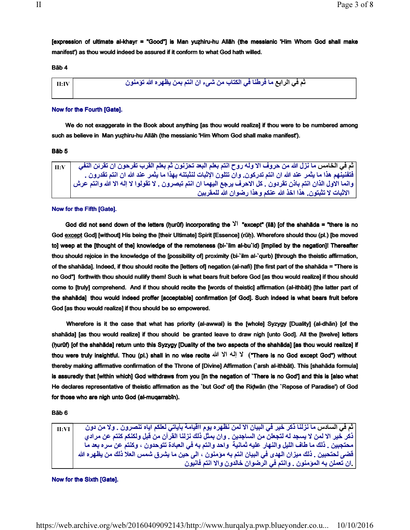[expression of ultimate al-khayr = "Good"] is Man yuẓhiru-hu Allāh (the messianic 'Him Whom God shall make manifest') as thou would indeed be assured if it conform to what God hath willed.

## Bāb 4

| $\vert$ II:IV $\vert$ | ـ ثم في الرابع ما فرطنا في الكتاب من شيء ان انتم بمن يظهره الله تؤمنون |
|-----------------------|------------------------------------------------------------------------|
|                       |                                                                        |

# Now for the Fourth [Gate].

We do not exaggerate in the Book about anything [as thou would realize] if thou were to be numbered among such as believe in Man yuẓhiru-hu Allāh (the messianic 'Him Whom God shall make manifest').

## Bāb 5

| $\mathbf{H}:V$ | ٍ ثم في الخامس ما نزل الله من حروف الا وله روح انتم بعلم البعد تحزنون ثم بعلم القرب تفرحون ان تقرئن النفي         |
|----------------|-------------------------------------------------------------------------------------------------------------------|
|                | فتفنينُهم هذا ما يثمر عند الله ان انتم تدركون. وان تتلون الإثبات لنثبتنه بهذا ما يثمر عند الله ان انتم تقدرون .   |
|                | وانما الاول الذان انتم باذن تقردون . كل الاحرف يرجع اليهما ان انتم تبصرون . لا تقولوا لا إله الا الله وانتم عرش ا |
|                | الاثبات لا تثبتون. هذا اخذ الله عنكم وهذا رضوان الله للمقربين                                                     |

# Now for the Fifth [Gate].

God did not send down of the letters (ḥurūf) incorporating the  $\frac{1}{1}$  "except" (ilā) [of the shahāda = "there is no God except God] [without] His being the [their Ultimate] Spirit [Essence] (rūh). Wherefore should thou (pl.) [be moved to] weep at the [thought of the] knowledge of the remoteness (bi-`ilm al-bu`id) [implied by the negation]! Thereafter thou should rejoice in the knowledge of the [possibility of] proximity (bi-`ilm al-`qurb) [through the theistic affirmation, of the shahāda]. Indeed, if thou should recite the [letters of] negation (al-nafi) [the first part of the shahāda = "There is no God"] forthwith thou should nullify them! Such is what bears fruit before God [as thou would realize] if thou should come to [truly] comprehend. And if thou should recite the [words of theistic] affirmation (al-ithbāt) [the latter part of the shahāda] thou would indeed proffer [acceptable] confirmation [of God]. Such indeed is what bears fruit before God [as thou would realize] if thou should be so empowered.

 Wherefore is it the case that what has priority (al-awwal) is the [whole] Syzygy [Duality] (al-dhān) [of the shahāda] [as thou would realize] if thou should be granted leave to draw nigh [unto God]. All the [twelve] letters (ḥurūf) [of the shahāda] return unto this Syzygy [Duality of the two aspects of the shahāda] [as thou would realize] if thou were truly insightful. Thou (pl.) shall in no wise recite الله الإله الإ الله الأله ("There is no God except God") without thereby making affirmative confirmation of the Throne of [Divine] Affirmation (`arsh al-ithbāt). This [shahāda formula] is assuredly that [within which] God withdraws from you [in the negation of `There is no God'] and this is [also what He declares representative of theistic affirmation as the `but God' of] the Riḍwān (the `Repose of Paradise') of God for those who are nigh unto God (al-muqarrabīn).

Bāb 6

ثم في السلاس ما نزلنا نكر خير في البيان الا لمن نظهره يوم ااقيامة بآياتي لعلكم اياه تنصرون . ولا من دون مسحى ا نكر خير الا لمن لا يسجد له لتجعلن من الساجدين . وان بمثل ذلك نزلنا القرآن من قبل ولكنكم كنتم عن مرادي محتجبين . ذلك ما طاف الليل والنهار عليه ثمانية واحد وانتم به في العبادة تتوحدون ، وكنتم عن سره بعد ما قضى لحتحبين . ذلك ميزان الـهدى في البيان انتم بـه موَمنون ، الى حين مـا يشرق شمس الـعلا ذلك من يظهره الله .ان تعملن به المؤمنون . وانتم في الرضوان خالدون والا انتم فانيون

Now for the Sixth [Gate].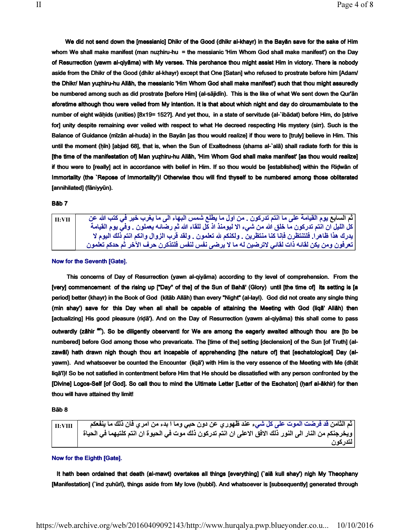We did not send down the [messianic] Dhikr of the Good (dhikr al-khayr) in the Bayān save for the sake of Him whom We shall make manifest (man nuẓhiru-hu = the messianic 'Him Whom God shall make manifest') on the Day of Resurrection (yawm al-qiyāma) with My verses. This perchance thou might assist Him in victory. There is nobody aside from the Dhikr of the Good (dhikr al-khayr) except that One [Satan] who refused to prostrate before him [Adam/ the Dhikr/ Man yuẓhiru-hu Allāh, the messianic 'Him Whom God shall make manifest') such that thou might assuredly be numbered among such as did prostrate [before Him] (al-sājidīn). This is the like of what We sent down the Qur'ān aforetime although thou were veiled from My intention. It is that about which night and day do circumambulate to the number of eight wāḥids (unities) [8x19= 152?]. And yet thou, in a state of servitude (al-`ibādat) before Him, do [strive for] unity despite remaining ever veiled with respect to what He decreed respecting His mystery (sirr). Such is the Balance of Guidance (mīzān al-huda) in the Bayān [as thou would realize] if thou were to [truly] believe in Him. This until the moment (ḥīn) [abjad 68], that is, when the Sun of Exaltedness (shams al-`alā) shall radiate forth for this is [the time of the manifestation of] Man yuẓhiru-hu Allāh, 'Him Whom God shall make manifest' [as thou would realize] if thou were to [really] act in accordance with belief in Him. If so thou would be [established] within the Riḍwān of Immortality (the `Repose of Immortality')! Otherwise thou will find thyself to be numbered among those obliterated [annihilated] (fāniyyūn).

#### Bāb 7

| $\vert$ II:VII | ثم السابع يوم القيامة على ما انتم تدركون . من اول ما يطلع شمس البهاء الى ما يغرب خير في كتب الله عن        |
|----------------|------------------------------------------------------------------------------------------------------------|
|                | كل الليل ان انتم تدركون ما خلق الله من شيء الا ليومنذ اذ كل للقاء الله ثم رضائـه يعملون . وفي يوم القيامـة |
|                | يدرك هذا ظاهرا. فلتنتظرن فإنا كنا منتظرين . ولكنكم لله تعلمون . ولقد قرب الزوال وانكم انتم ذلك اليوم لا    |
|                | تعرفون ومن يكن لقائه ذات لقائي لاترضين له ما لا يرضي نفس لنفس فلتذكرن حرف الآخر ثم حدكم تعلمون             |

### Now for the Seventh [Gate].

This concerns of Day of Resurrection (yawn al-qiyāma) according to thy level of comprehension. From the [very] commencement of the rising up ["Day" of the] of the Sun of Bahā' (Glory) until [the time of] its setting is [a period] better (khayr) in the Book of God (kitāb Allāh) than every "Night" (al-layl). God did not create any single thing (min shay') save for this Day when all shall be capable of attaining the Meeting with God (liqā' Allāh) then [actualizing] His good pleasure (riḍā'). And on the Day of Resurrection (yawm al-qiyāma) this shall come to pass outwardly (zāhir <sup>an</sup>). So be diligently observant! for We are among the eagerly awaited although thou are [to be numbered] before God among those who prevaricate. The [time of the] setting [declension] of the Sun [of Truth] (alzawāl) hath drawn nigh though thou art incapable of apprehending [the nature of] that [eschatological] Day (alyawm). And whatsoever be counted the Encounter (liqā') with Him is the very essence of the Meeting with Me (dhāt liqā'ī)! So be not satisfied in contentment before Him that He should be dissatisfied with any person confronted by the [Divine] Logos-Self [of God]. So call thou to mind the Ultimate Letter [Letter of the Eschaton] (ḥarf al-ākhir) for then thou will have attained thy limit!

## Bāb 8

| II:VIII | ثم الثّامن قد فرضت الموت على كل شيء عند ظهور ي عن دون حبي وما ا بدء من امر ي فان ذلك ما ينفعكم          |
|---------|---------------------------------------------------------------------------------------------------------|
|         | ويخرجنكم من النار الى النور ذلك الافق الاعلى ان انتم تدركون ذلك موت في الحيوة ان انتم كلتيهما في الحياة |
|         | لتدركون                                                                                                 |

## Now for the Eighth [Gate].

It hath been ordained that death (al-mawt) overtakes all things [everything] (`alā kull shay') nigh My Theophany [Manifestation] (`ind zuhūrī), things aside from My love (hubbī). And whatsoever is [subsequently] generated through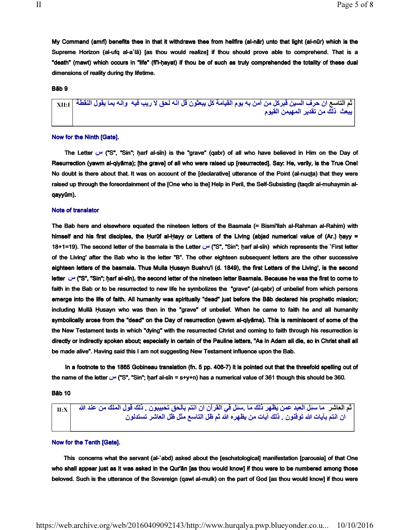My Command (amrī) benefits thee in that it withdraws thee from hellfire (al-nār) unto that light (al-nūr) which is the Supreme Horizon (al-ufq al-a`lā) [as thou would realize] if thou should prove able to comprehend. That is a "death" (mawt) which occurs in "life" (fī'l-ḥayat) if thou be of such as truly comprehended the totality of these dual dimensions of reality during thy lifetime.

# Bāb 9

 $_{\rm XII:I}$  إن حرف السين قبركل من آمن به يوم القيامة كل يبعثون قل انه لحق لا ريب فيه وانه بما يقول النقطة  $_{\rm II:II}$ يبعث ذلك من تقدير المهيمن القيوم

#### Now for the Ninth [Gate].

The Letter  $\cup$ " ("S", "Sin"; harf al-sīn) is the "grave" (qabr) of all who have believed in Him on the Day of Resurrection (yawm al-qiyāma); [the grave] of all who were raised up [resurrected]. Say: He, verily, is the True One! No doubt is there about that. It was on account of the [declarative] utterance of the Point (al-nuqṭa) that they were raised up through the foreordainment of the [One who is the] Help in Peril, the Self-Subsisting (taqdīr al-muhaymin alqayyūm).

## Note of translator

The Bab here and elsewhere equated the nineteen letters of the Basmala (= Bismi'llah al-Rahman al-Rahim) with himself and his first disciples, the Hurūf al-Hayy or Letters of the Living (abjad numerical value of (Ar.) hayy = 18+1=19). The second letter of the basmala is the Letter  $\vee$  ("S", "Sin"; ḥarf al-sīn) which represents the `First letter of the Living' after the Bab who is the letter "B". The other eighteen subsequent letters are the other successive eighteen letters of the basmala. Thus Mulla Ḥusayn Bushru'i (d. 1849), the first Letters of the Living', is the second letter  $\cup$  ("S", "Sin"; ḥarf al-sīn), the second letter of the nineteen letter Basmala. Because he was the first to come to faith in the Bab or to be resurrected to new life he symbolizes the "grave" (al-qabr) of unbelief from which persons emerge into the life of faith. All humanity was spiritually "dead" just before the Bāb declared his prophetic mission; including Mullā Ḥusayn who was then in the "grave" of unbelief. When he came to faith he and all humanity symbolically arose from the "dead" on the Day of resurrection (yawm al-qiyāma). This is reminiscent of some of the the New Testament texts in which "dying" with the resurrected Christ and coming to faith through his resurrection is directly or indirectly spoken about; especially in certain of the Pauline letters, "As in Adam all die, so in Christ shall all be made alive". Having said this I am not suggesting New Testament influence upon the Bab.

 In a footnote to the 1865 Gobineau translation (fn. 5 pp. 406-7) it is pointed out that the threefold spelling out of the name of the letter  $\cup$ " ("S", "Sin"; harf al-sīn = s+y+n) has a numerical value of 361 though this should be 360.

Bāb 10

ثم العاشر ما سئل العبد عمن يظهر ذلك ما .سئل في القرآن ان انتم بالحق تحبيبون . ذلك قول الملك من عند الله | II:X ً أن انتم بآيات الله توقنون . ذلك آيات من يظهر ه الله ثم ظل التاسع مثل ظل العاشر تستدلون

#### Now for the Tenth [Gate].

 This concerns what the servant (al-`abd) asked about the [eschatological] manifestation [parousia] of that One who shall appear just as it was asked in the Qur'ān [as thou would know] if thou were to be numbered among those beloved. Such is the utterance of the Sovereign (qawl al-mulk) on the part of God [as thou would know] if thou were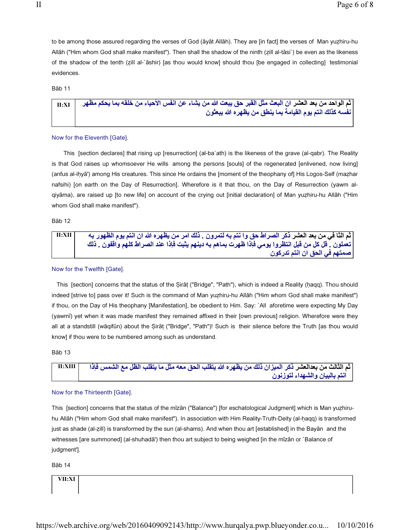to be among those assured regarding the verses of God (āyāt Allāh). They are [in fact] the verses of Man yuẓhiru-hu Allāh ("Him whom God shall make manifest"). Then shall the shadow of the ninth (ẓill al-tāsi`) be even as the likeness of the shadow of the tenth (ẓill al-`āshir) [as thou would know] should thou [be engaged in collecting] testimonial evidences.

Bāb 11

| ثم الواحد من بعد العشر ان البعث مثل القبر حق يبعت الله من يشاء عن انفس الأحياء من خلقه بما يحكم مظهر    II:XI |
|---------------------------------------------------------------------------------------------------------------|
| نفسه كذلك انتم يوم القيامة بما ينطق من يظهر ه الله يبعثون                                                     |

#### Now for the Eleventh [Gate].

 This [section declares] that rising up [resurrection] (al-ba`ath) is the likeness of the grave (al-qabr). The Reality is that God raises up whomsoever He wills among the persons [souls] of the regenerated [enlivened, now living] (anfus al-iḥyā') among His creatures. This since He ordains the [moment of the theophany of] His Logos-Self (maẓhar nafsihi) [on earth on the Day of Resurrection]. Wherefore is it that thou, on the Day of Resurrection (yawm alqiyāma), are raised up [to new life] on account of the crying out [initial declaration] of Man yuẓhiru-hu Allāh ("Him whom God shall make manifest").

Bāb 12

ثم الثا في من بعد العشر ذكر الصراط حق وا نتم به لتمرون . ذلك امر من يظهره الله ان انتم يوم الظهور به مسمح II:XII تعملون . قل كل من قبل انتظروا يومي فإذا ظهرت بماهم به دينهم يثبت فإذا عند الصراط كلهم واقفون . ذلك صمتهم في الحق ان انتم تدركون

## Now for the Twelfth [Gate].

This [section] concerns that the status of the Sirāt ("Bridge", "Path"), which is indeed a Reality (hagq). Thou should indeed [strive to] pass over it! Such is the command of Man yuẓhiru-hu Allāh ("Him whom God shall make manifest") if thou, on the Day of His theophany [Manifestation], be obedient to Him. Say: `All aforetime were expecting My Day (yawmī) yet when it was made manifest they remained affixed in their [own previous] religion. Wherefore were they all at a standstill (wāqifūn) about the Ṣirāṭ ("Bridge", "Path")! Such is their silence before the Truth [as thou would know] if thou were to be numbered among such as understand.

Bāb 13

| - II:XIII | [ثم الثالث من بعدالعشر ذكر الميزان ذلك من يظهره الله يتقلب الحق معه مثل ما يتقلب الظل مع الشمس فإذا |
|-----------|-----------------------------------------------------------------------------------------------------|
|           | انتم بالبيان والشهداء لتوزنون                                                                       |

#### Now for the Thirteenth [Gate].

This [section] concerns that the status of the mīzān ("Balance") [for eschatological Judgment] which is Man yuẓhiruhu Allāh ("Him whom God shall make manifest"). In association with Him Reality-Truth-Deity (al-haqq) is transformed just as shade (al-ẓill) is transformed by the sun (al-shams). And when thou art [established] in the Bayān and the witnesses [are summoned] (al-shuhadā') then thou art subject to being weighed [in the mīzān or `Balance of judgment'].

Bāb 14

VII:XI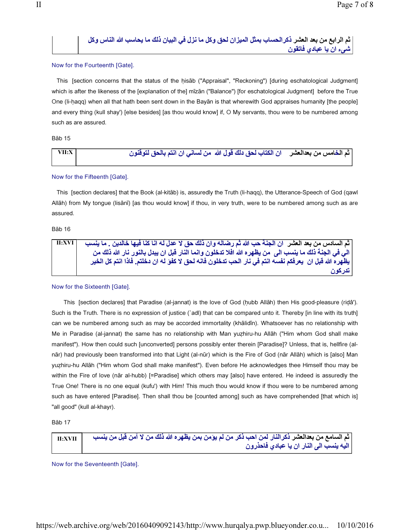ثم الرابع من بعد العشر ذكرالحساب بمثل الميزان لحق وكل ما نزل في البيان ذلك ما يحاسب الله الناس وكل شىء ان يا عبادي فاتقون

# Now for the Fourteenth [Gate].

This [section concerns that the status of the hisab ("Appraisal", "Reckoning") [during eschatological Judgment] which is after the likeness of the [explanation of the] mīzān ("Balance") [for eschatological Judgment] before the True One (li-ḥaqq) when all that hath been sent down in the Bayān is that wherewith God appraises humanity [the people] and every thing (kull shay') [else besides] [as thou would know] if, O My servants, thou were to be numbered among such as are assured.

## Bāb 15

| $ $ VII:X $ $ | ثم الخامس من بعدالعشر     ان الكتاب لحق دلك قول الله   من لساني ان انتم بالحق لتوقنون |  |
|---------------|---------------------------------------------------------------------------------------|--|
|               |                                                                                       |  |

# Now for the Fifteenth [Gate].

 This [section declares] that the Book (al-kitāb) is, assuredly the Truth (li-haqq), the Utterance-Speech of God (qawl Allāh) from My tongue (lisānī) [as thou would know] if thou, in very truth, were to be numbered among such as are assured.

# Bāb 16

| <b>II:XVI</b> | ثم السادس من بعد العشر   ان الجنة حب الله ثم رضاله وان ذلك حق لا عدل له انا كنا فيها خالدين . ما ينسب       |
|---------------|-------------------------------------------------------------------------------------------------------------|
|               | الى في الجنة ذلك ما ينسب الى  من يظهره الله افلا تدخلون وانما النار قبل ان يبدل بالنور نار الله ذلك من      |
|               | ِ يظهر ه الله قبل ان  يعرفكم نفسه انتم في نار  الحب تدخلون فانه لحق لا كفوَ له ان دخلتم. فاذا انتم كل الخير |
|               | ـ تدر کو ن                                                                                                  |

# Now for the Sixteenth [Gate].

 This [section declares] that Paradise (al-jannat) is the love of God (ḥubb Allāh) then His good-pleasure (riḍâ'). Such is the Truth. There is no expression of justice (`adl) that can be compared unto it. Thereby [in line with its truth] can we be numbered among such as may be accorded immortality (khālidīn). Whatsoever has no relationship with Me in Paradise (al-jannat) the same has no relationship with Man yuẓhiru-hu Allāh ("Him whom God shall make manifest"). How then could such [unconverted] persons possibly enter therein [Paradise]? Unless, that is, hellfire (alnār) had previously been transformed into that Light (al-nūr) which is the Fire of God (nār Allāh) which is [also] Man yuẓhiru-hu Allāh ("Him whom God shall make manifest"). Even before He acknowledges thee Himself thou may be within the Fire of love (nār al-hubb) [=Paradise] which others may [also] have entered. He indeed is assuredly the True One! There is no one equal (kufu') with Him! This much thou would know if thou were to be numbered among such as have entered [Paradise]. Then shall thou be [counted among] such as have comprehended [that which is] "all good" (kull al-khayr).

Bāb 17

| $\parallel$ II:XVII $\parallel$ | ثم السامع من بعدالعشر ذكر النار لمن احب ذكر من لم يؤمن بمن يظهره الله ذلك من لا آمن قبل من ينسب |
|---------------------------------|-------------------------------------------------------------------------------------------------|
|                                 | اليه ينسب الى النار ان يا عبادي فاحذرون                                                         |

Now for the Seventeenth [Gate].